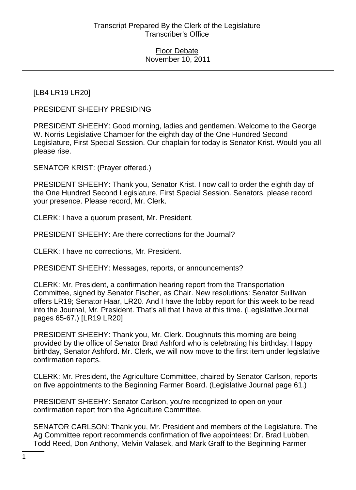### Floor Debate November 10, 2011

[LB4 LR19 LR20]

PRESIDENT SHEEHY PRESIDING

PRESIDENT SHEEHY: Good morning, ladies and gentlemen. Welcome to the George W. Norris Legislative Chamber for the eighth day of the One Hundred Second Legislature, First Special Session. Our chaplain for today is Senator Krist. Would you all please rise.

SENATOR KRIST: (Prayer offered.)

PRESIDENT SHEEHY: Thank you, Senator Krist. I now call to order the eighth day of the One Hundred Second Legislature, First Special Session. Senators, please record your presence. Please record, Mr. Clerk.

CLERK: I have a quorum present, Mr. President.

PRESIDENT SHEEHY: Are there corrections for the Journal?

CLERK: I have no corrections, Mr. President.

PRESIDENT SHEEHY: Messages, reports, or announcements?

CLERK: Mr. President, a confirmation hearing report from the Transportation Committee, signed by Senator Fischer, as Chair. New resolutions: Senator Sullivan offers LR19; Senator Haar, LR20. And I have the lobby report for this week to be read into the Journal, Mr. President. That's all that I have at this time. (Legislative Journal pages 65-67.) [LR19 LR20]

PRESIDENT SHEEHY: Thank you, Mr. Clerk. Doughnuts this morning are being provided by the office of Senator Brad Ashford who is celebrating his birthday. Happy birthday, Senator Ashford. Mr. Clerk, we will now move to the first item under legislative confirmation reports.

CLERK: Mr. President, the Agriculture Committee, chaired by Senator Carlson, reports on five appointments to the Beginning Farmer Board. (Legislative Journal page 61.)

PRESIDENT SHEEHY: Senator Carlson, you're recognized to open on your confirmation report from the Agriculture Committee.

SENATOR CARLSON: Thank you, Mr. President and members of the Legislature. The Ag Committee report recommends confirmation of five appointees: Dr. Brad Lubben, Todd Reed, Don Anthony, Melvin Valasek, and Mark Graff to the Beginning Farmer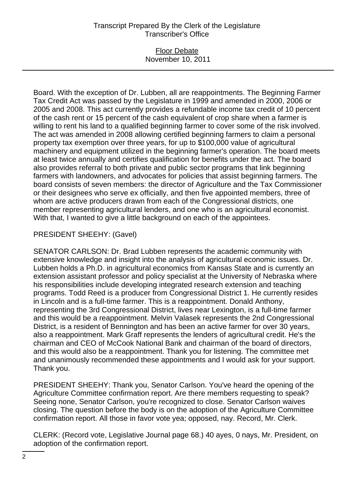# Transcript Prepared By the Clerk of the Legislature Transcriber's Office

### Floor Debate November 10, 2011

Board. With the exception of Dr. Lubben, all are reappointments. The Beginning Farmer Tax Credit Act was passed by the Legislature in 1999 and amended in 2000, 2006 or 2005 and 2008. This act currently provides a refundable income tax credit of 10 percent of the cash rent or 15 percent of the cash equivalent of crop share when a farmer is willing to rent his land to a qualified beginning farmer to cover some of the risk involved. The act was amended in 2008 allowing certified beginning farmers to claim a personal property tax exemption over three years, for up to \$100,000 value of agricultural machinery and equipment utilized in the beginning farmer's operation. The board meets at least twice annually and certifies qualification for benefits under the act. The board also provides referral to both private and public sector programs that link beginning farmers with landowners, and advocates for policies that assist beginning farmers. The board consists of seven members: the director of Agriculture and the Tax Commissioner or their designees who serve ex officially, and then five appointed members, three of whom are active producers drawn from each of the Congressional districts, one member representing agricultural lenders, and one who is an agricultural economist. With that, I wanted to give a little background on each of the appointees.

## PRESIDENT SHEEHY: (Gavel)

SENATOR CARLSON: Dr. Brad Lubben represents the academic community with extensive knowledge and insight into the analysis of agricultural economic issues. Dr. Lubben holds a Ph.D. in agricultural economics from Kansas State and is currently an extension assistant professor and policy specialist at the University of Nebraska where his responsibilities include developing integrated research extension and teaching programs. Todd Reed is a producer from Congressional District 1. He currently resides in Lincoln and is a full-time farmer. This is a reappointment. Donald Anthony, representing the 3rd Congressional District, lives near Lexington, is a full-time farmer and this would be a reappointment. Melvin Valasek represents the 2nd Congressional District, is a resident of Bennington and has been an active farmer for over 30 years, also a reappointment. Mark Graff represents the lenders of agricultural credit. He's the chairman and CEO of McCook National Bank and chairman of the board of directors, and this would also be a reappointment. Thank you for listening. The committee met and unanimously recommended these appointments and I would ask for your support. Thank you.

PRESIDENT SHEEHY: Thank you, Senator Carlson. You've heard the opening of the Agriculture Committee confirmation report. Are there members requesting to speak? Seeing none, Senator Carlson, you're recognized to close. Senator Carlson waives closing. The question before the body is on the adoption of the Agriculture Committee confirmation report. All those in favor vote yea; opposed, nay. Record, Mr. Clerk.

CLERK: (Record vote, Legislative Journal page 68.) 40 ayes, 0 nays, Mr. President, on adoption of the confirmation report.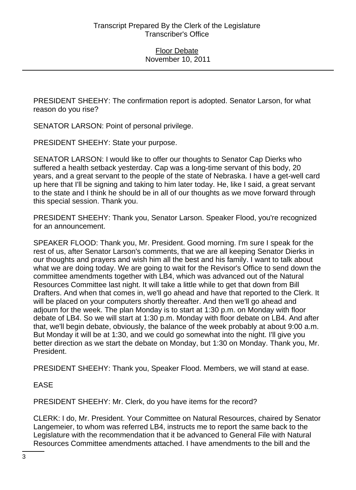### Floor Debate November 10, 2011

PRESIDENT SHEEHY: The confirmation report is adopted. Senator Larson, for what reason do you rise?

SENATOR LARSON: Point of personal privilege.

PRESIDENT SHEEHY: State your purpose.

SENATOR LARSON: I would like to offer our thoughts to Senator Cap Dierks who suffered a health setback yesterday. Cap was a long-time servant of this body, 20 years, and a great servant to the people of the state of Nebraska. I have a get-well card up here that I'll be signing and taking to him later today. He, like I said, a great servant to the state and I think he should be in all of our thoughts as we move forward through this special session. Thank you.

PRESIDENT SHEEHY: Thank you, Senator Larson. Speaker Flood, you're recognized for an announcement.

SPEAKER FLOOD: Thank you, Mr. President. Good morning. I'm sure I speak for the rest of us, after Senator Larson's comments, that we are all keeping Senator Dierks in our thoughts and prayers and wish him all the best and his family. I want to talk about what we are doing today. We are going to wait for the Revisor's Office to send down the committee amendments together with LB4, which was advanced out of the Natural Resources Committee last night. It will take a little while to get that down from Bill Drafters. And when that comes in, we'll go ahead and have that reported to the Clerk. It will be placed on your computers shortly thereafter. And then we'll go ahead and adjourn for the week. The plan Monday is to start at 1:30 p.m. on Monday with floor debate of LB4. So we will start at 1:30 p.m. Monday with floor debate on LB4. And after that, we'll begin debate, obviously, the balance of the week probably at about 9:00 a.m. But Monday it will be at 1:30, and we could go somewhat into the night. I'll give you better direction as we start the debate on Monday, but 1:30 on Monday. Thank you, Mr. President.

PRESIDENT SHEEHY: Thank you, Speaker Flood. Members, we will stand at ease.

EASE

PRESIDENT SHEEHY: Mr. Clerk, do you have items for the record?

CLERK: I do, Mr. President. Your Committee on Natural Resources, chaired by Senator Langemeier, to whom was referred LB4, instructs me to report the same back to the Legislature with the recommendation that it be advanced to General File with Natural Resources Committee amendments attached. I have amendments to the bill and the